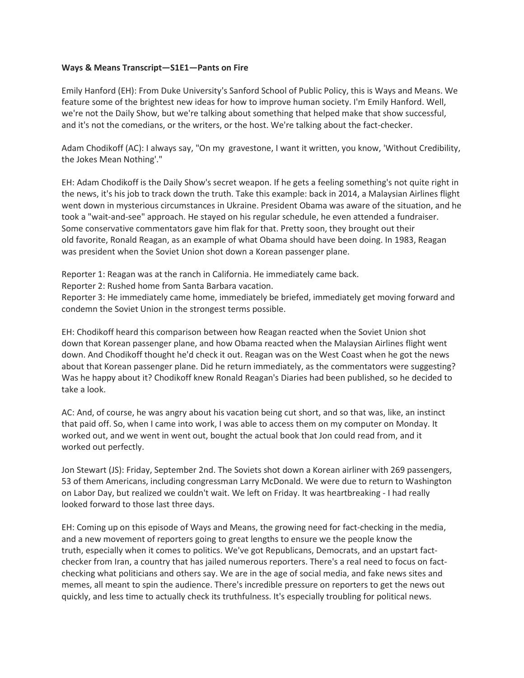## **Ways & Means Transcript—S1E1—Pants on Fire**

Emily Hanford (EH): From Duke University's Sanford School of Public Policy, this is Ways and Means. We feature some of the brightest new ideas for how to improve human society. I'm Emily Hanford. Well, we're not the Daily Show, but we're talking about something that helped make that show successful, and it's not the comedians, or the writers, or the host. We're talking about the fact-checker.

Adam Chodikoff (AC): I always say, "On my gravestone, I want it written, you know, 'Without Credibility, the Jokes Mean Nothing'."

EH: Adam Chodikoff is the Daily Show's secret weapon. If he gets a feeling something's not quite right in the news, it's his job to track down the truth. Take this example: back in 2014, a Malaysian Airlines flight went down in mysterious circumstances in Ukraine. President Obama was aware of the situation, and he took a "wait-and-see" approach. He stayed on his regular schedule, he even attended a fundraiser. Some conservative commentators gave him flak for that. Pretty soon, they brought out their old favorite, Ronald Reagan, as an example of what Obama should have been doing. In 1983, Reagan was president when the Soviet Union shot down a Korean passenger plane.

Reporter 1: Reagan was at the ranch in California. He immediately came back.

Reporter 2: Rushed home from Santa Barbara vacation.

Reporter 3: He immediately came home, immediately be briefed, immediately get moving forward and condemn the Soviet Union in the strongest terms possible.

EH: Chodikoff heard this comparison between how Reagan reacted when the Soviet Union shot down that Korean passenger plane, and how Obama reacted when the Malaysian Airlines flight went down. And Chodikoff thought he'd check it out. Reagan was on the West Coast when he got the news about that Korean passenger plane. Did he return immediately, as the commentators were suggesting? Was he happy about it? Chodikoff knew Ronald Reagan's Diaries had been published, so he decided to take a look.

AC: And, of course, he was angry about his vacation being cut short, and so that was, like, an instinct that paid off. So, when I came into work, I was able to access them on my computer on Monday. It worked out, and we went in went out, bought the actual book that Jon could read from, and it worked out perfectly.

Jon Stewart (JS): Friday, September 2nd. The Soviets shot down a Korean airliner with 269 passengers, 53 of them Americans, including congressman Larry McDonald. We were due to return to Washington on Labor Day, but realized we couldn't wait. We left on Friday. It was heartbreaking - I had really looked forward to those last three days.

EH: Coming up on this episode of Ways and Means, the growing need for fact-checking in the media, and a new movement of reporters going to great lengths to ensure we the people know the truth, especially when it comes to politics. We've got Republicans, Democrats, and an upstart factchecker from Iran, a country that has jailed numerous reporters. There's a real need to focus on factchecking what politicians and others say. We are in the age of social media, and fake news sites and memes, all meant to spin the audience. There's incredible pressure on reporters to get the news out quickly, and less time to actually check its truthfulness. It's especially troubling for political news.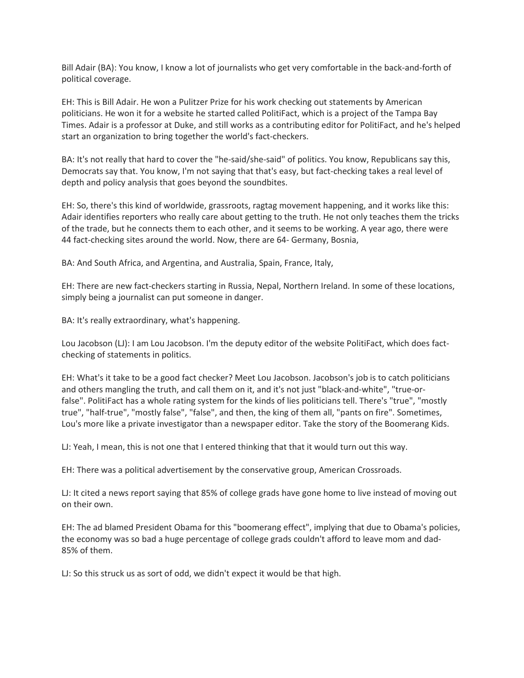Bill Adair (BA): You know, I know a lot of journalists who get very comfortable in the back-and-forth of political coverage.

EH: This is Bill Adair. He won a Pulitzer Prize for his work checking out statements by American politicians. He won it for a website he started called PolitiFact, which is a project of the Tampa Bay Times. Adair is a professor at Duke, and still works as a contributing editor for PolitiFact, and he's helped start an organization to bring together the world's fact-checkers.

BA: It's not really that hard to cover the "he-said/she-said" of politics. You know, Republicans say this, Democrats say that. You know, I'm not saying that that's easy, but fact-checking takes a real level of depth and policy analysis that goes beyond the soundbites.

EH: So, there's this kind of worldwide, grassroots, ragtag movement happening, and it works like this: Adair identifies reporters who really care about getting to the truth. He not only teaches them the tricks of the trade, but he connects them to each other, and it seems to be working. A year ago, there were 44 fact-checking sites around the world. Now, there are 64- Germany, Bosnia,

BA: And South Africa, and Argentina, and Australia, Spain, France, Italy,

EH: There are new fact-checkers starting in Russia, Nepal, Northern Ireland. In some of these locations, simply being a journalist can put someone in danger.

BA: It's really extraordinary, what's happening.

Lou Jacobson (LJ): I am Lou Jacobson. I'm the deputy editor of the website PolitiFact, which does factchecking of statements in politics.

EH: What's it take to be a good fact checker? Meet Lou Jacobson. Jacobson's job is to catch politicians and others mangling the truth, and call them on it, and it's not just "black-and-white", "true-orfalse". PolitiFact has a whole rating system for the kinds of lies politicians tell. There's "true", "mostly true", "half-true", "mostly false", "false", and then, the king of them all, "pants on fire". Sometimes, Lou's more like a private investigator than a newspaper editor. Take the story of the Boomerang Kids.

LJ: Yeah, I mean, this is not one that I entered thinking that that it would turn out this way.

EH: There was a political advertisement by the conservative group, American Crossroads.

LJ: It cited a news report saying that 85% of college grads have gone home to live instead of moving out on their own.

EH: The ad blamed President Obama for this "boomerang effect", implying that due to Obama's policies, the economy was so bad a huge percentage of college grads couldn't afford to leave mom and dad-85% of them.

LJ: So this struck us as sort of odd, we didn't expect it would be that high.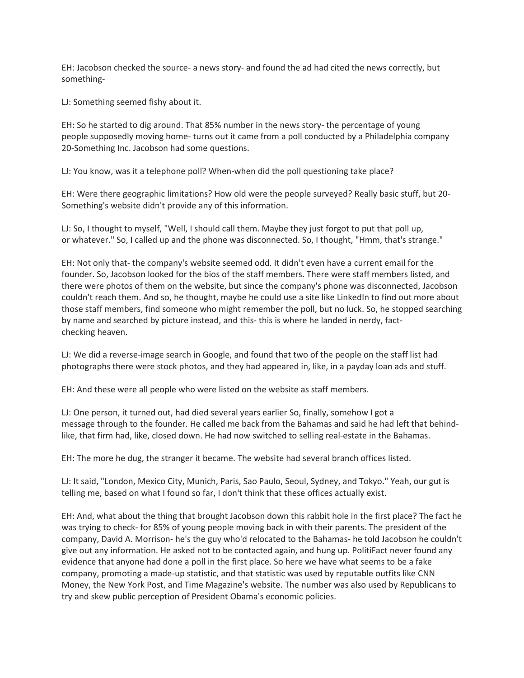EH: Jacobson checked the source- a news story- and found the ad had cited the news correctly, but something-

LJ: Something seemed fishy about it.

EH: So he started to dig around. That 85% number in the news story- the percentage of young people supposedly moving home- turns out it came from a poll conducted by a Philadelphia company 20-Something Inc. Jacobson had some questions.

LJ: You know, was it a telephone poll? When-when did the poll questioning take place?

EH: Were there geographic limitations? How old were the people surveyed? Really basic stuff, but 20- Something's website didn't provide any of this information.

LJ: So, I thought to myself, "Well, I should call them. Maybe they just forgot to put that poll up, or whatever." So, I called up and the phone was disconnected. So, I thought, "Hmm, that's strange."

EH: Not only that- the company's website seemed odd. It didn't even have a current email for the founder. So, Jacobson looked for the bios of the staff members. There were staff members listed, and there were photos of them on the website, but since the company's phone was disconnected, Jacobson couldn't reach them. And so, he thought, maybe he could use a site like LinkedIn to find out more about those staff members, find someone who might remember the poll, but no luck. So, he stopped searching by name and searched by picture instead, and this- this is where he landed in nerdy, factchecking heaven.

LJ: We did a reverse-image search in Google, and found that two of the people on the staff list had photographs there were stock photos, and they had appeared in, like, in a payday loan ads and stuff.

EH: And these were all people who were listed on the website as staff members.

LJ: One person, it turned out, had died several years earlier So, finally, somehow I got a message through to the founder. He called me back from the Bahamas and said he had left that behindlike, that firm had, like, closed down. He had now switched to selling real-estate in the Bahamas.

EH: The more he dug, the stranger it became. The website had several branch offices listed.

LJ: It said, "London, Mexico City, Munich, Paris, Sao Paulo, Seoul, Sydney, and Tokyo." Yeah, our gut is telling me, based on what I found so far, I don't think that these offices actually exist.

EH: And, what about the thing that brought Jacobson down this rabbit hole in the first place? The fact he was trying to check- for 85% of young people moving back in with their parents. The president of the company, David A. Morrison- he's the guy who'd relocated to the Bahamas- he told Jacobson he couldn't give out any information. He asked not to be contacted again, and hung up. PolitiFact never found any evidence that anyone had done a poll in the first place. So here we have what seems to be a fake company, promoting a made-up statistic, and that statistic was used by reputable outfits like CNN Money, the New York Post, and Time Magazine's website. The number was also used by Republicans to try and skew public perception of President Obama's economic policies.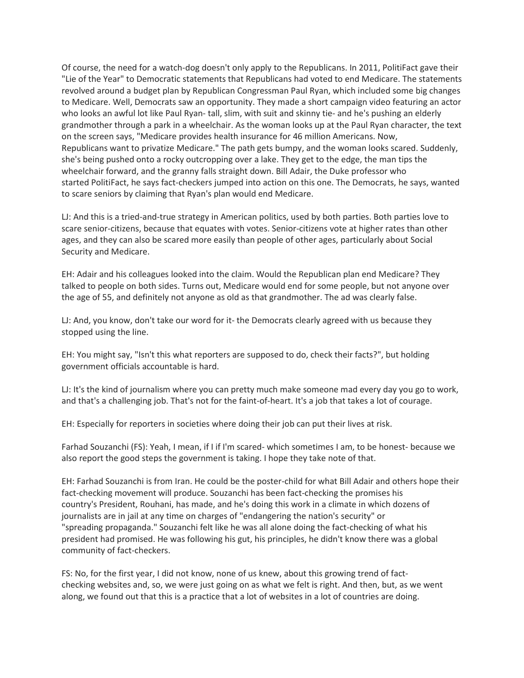Of course, the need for a watch-dog doesn't only apply to the Republicans. In 2011, PolitiFact gave their "Lie of the Year" to Democratic statements that Republicans had voted to end Medicare. The statements revolved around a budget plan by Republican Congressman Paul Ryan, which included some big changes to Medicare. Well, Democrats saw an opportunity. They made a short campaign video featuring an actor who looks an awful lot like Paul Ryan- tall, slim, with suit and skinny tie- and he's pushing an elderly grandmother through a park in a wheelchair. As the woman looks up at the Paul Ryan character, the text on the screen says, "Medicare provides health insurance for 46 million Americans. Now, Republicans want to privatize Medicare." The path gets bumpy, and the woman looks scared. Suddenly, she's being pushed onto a rocky outcropping over a lake. They get to the edge, the man tips the wheelchair forward, and the granny falls straight down. Bill Adair, the Duke professor who started PolitiFact, he says fact-checkers jumped into action on this one. The Democrats, he says, wanted to scare seniors by claiming that Ryan's plan would end Medicare.

LJ: And this is a tried-and-true strategy in American politics, used by both parties. Both parties love to scare senior-citizens, because that equates with votes. Senior-citizens vote at higher rates than other ages, and they can also be scared more easily than people of other ages, particularly about Social Security and Medicare.

EH: Adair and his colleagues looked into the claim. Would the Republican plan end Medicare? They talked to people on both sides. Turns out, Medicare would end for some people, but not anyone over the age of 55, and definitely not anyone as old as that grandmother. The ad was clearly false.

LJ: And, you know, don't take our word for it- the Democrats clearly agreed with us because they stopped using the line.

EH: You might say, "Isn't this what reporters are supposed to do, check their facts?", but holding government officials accountable is hard.

LJ: It's the kind of journalism where you can pretty much make someone mad every day you go to work, and that's a challenging job. That's not for the faint-of-heart. It's a job that takes a lot of courage.

EH: Especially for reporters in societies where doing their job can put their lives at risk.

Farhad Souzanchi (FS): Yeah, I mean, if I if I'm scared- which sometimes I am, to be honest- because we also report the good steps the government is taking. I hope they take note of that.

EH: Farhad Souzanchi is from Iran. He could be the poster-child for what Bill Adair and others hope their fact-checking movement will produce. Souzanchi has been fact-checking the promises his country's President, Rouhani, has made, and he's doing this work in a climate in which dozens of journalists are in jail at any time on charges of "endangering the nation's security" or "spreading propaganda." Souzanchi felt like he was all alone doing the fact-checking of what his president had promised. He was following his gut, his principles, he didn't know there was a global community of fact-checkers.

FS: No, for the first year, I did not know, none of us knew, about this growing trend of factchecking websites and, so, we were just going on as what we felt is right. And then, but, as we went along, we found out that this is a practice that a lot of websites in a lot of countries are doing.